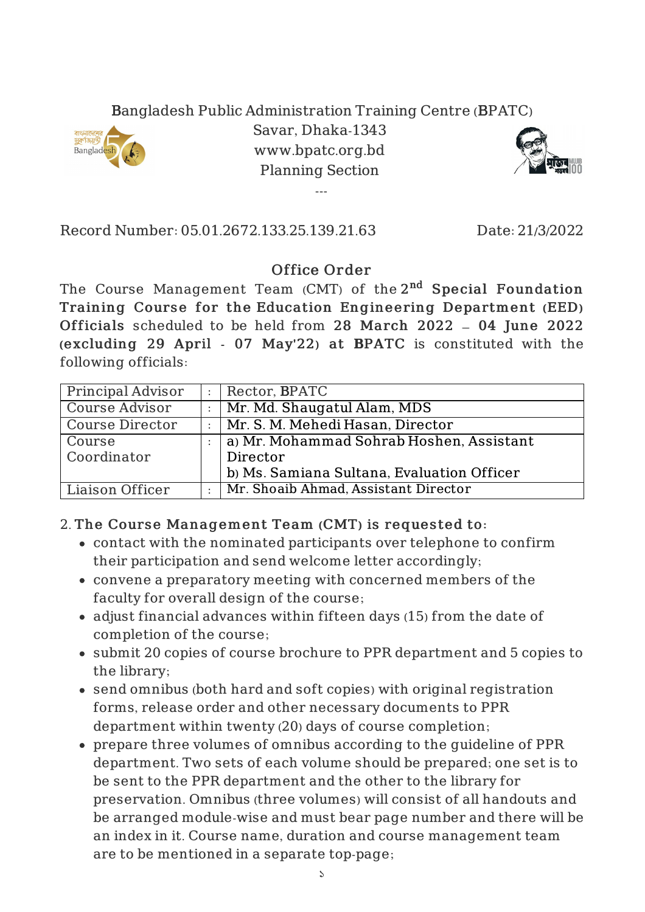## Bangladesh Public Administration Training Centre (BPATC)



Savar, Dhaka-1343 www.bpatc.org.bd Planning Section

---



Record Number: 05.01.2672.133.25.139.21.63 Date: 21/3/2022

## Office Order

The Course Management Team (CMT) of the $2^{\text{nd}}$  Special Foundation Training Course for the Education Engineering Department (EED) Officials scheduled to be held from 28 March 2022 – 04 June 2022 (excluding 29 April - 07 May'22) at BPATC is constituted with the following officials:

| Principal Advisor     | ÷ | Rector, BPATC                              |
|-----------------------|---|--------------------------------------------|
| <b>Course Advisor</b> |   | Mr. Md. Shaugatul Alam, MDS                |
| Course Director       |   | Mr. S. M. Mehedi Hasan, Director           |
| Course                |   | a) Mr. Mohammad Sohrab Hoshen, Assistant   |
| Coordinator           |   | Director                                   |
|                       |   | b) Ms. Samiana Sultana, Evaluation Officer |
| Liaison Officer       |   | Mr. Shoaib Ahmad, Assistant Director       |

## 2. The Course Management Team (CMT) is requested to:

- contact with the nominated participants over telephone to confirm their participation and send welcome letter accordingly;
- convene a preparatory meeting with concerned members of the faculty for overall design of the course;
- adjust financial advances within fifteen days (15) from the date of completion of the course;
- submit 20 copies of course brochure to PPR department and 5 copies to the library;
- send omnibus (both hard and soft copies) with original registration forms, release order and other necessary documents to PPR department within twenty (20) days of course completion;
- prepare three volumes of omnibus according to the guideline of PPR department. Two sets of each volume should be prepared; one set is to be sent to the PPR department and the other to the library for preservation. Omnibus (three volumes) will consist of all handouts and be arranged module-wise and must bear page number and there will be an index in it. Course name, duration and course management team are to be mentioned in a separate top-page;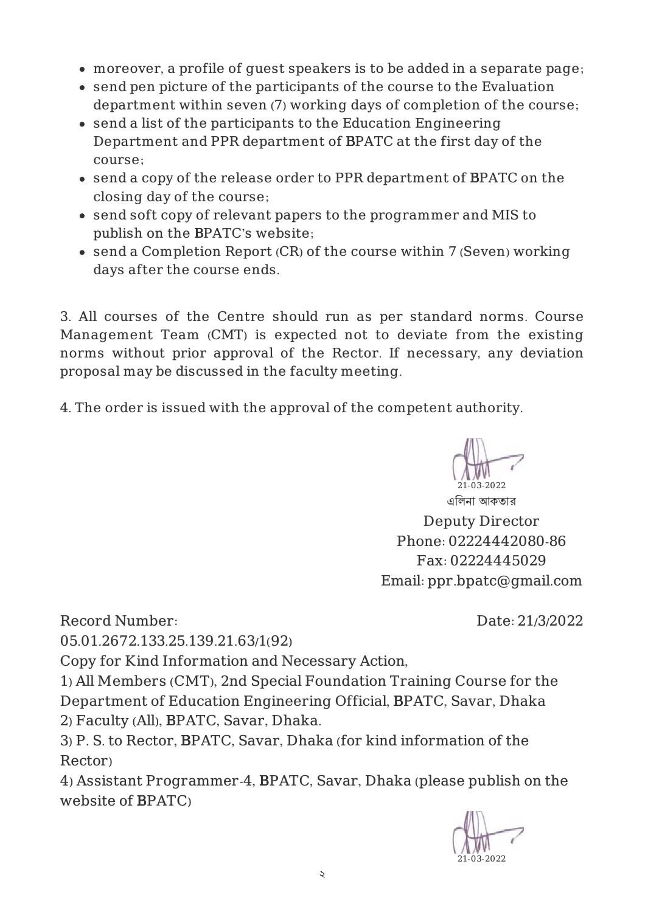- moreover, a profile of guest speakers is to be added in a separate page;
- send pen picture of the participants of the course to the Evaluation department within seven (7) working days of completion of the course;
- send a list of the participants to the Education Engineering Department and PPR department of BPATC at the first day of the course;
- send a copy of the release order to PPR department of BPATC on the closing day of the course;
- send soft copy of relevant papers to the programmer and MIS to publish on the BPATC's website;
- send a Completion Report (CR) of the course within 7 (Seven) working days after the course ends.

3. All courses of the Centre should run as per standard norms. Course Management Team (CMT) is expected not to deviate from the existing norms without prior approval of the Rector. If necessary, any deviation proposal may be discussed in the faculty meeting.

4. The order is issued with the approval of the competent authority.



Deputy Director Phone: 02224442080-86 Fax: 02224445029 Email: ppr.bpatc@gmail.com

Record Number:

Date: 21/3/2022

05.01.2672.133.25.139.21.63/1(92)

Copy for Kind Information and Necessary Action,

1) All Members (CMT), 2nd Special Foundation Training Course for the Department of Education Engineering Official, BPATC, Savar, Dhaka 2) Faculty (All), BPATC, Savar, Dhaka.

3) P. S. to Rector, BPATC, Savar, Dhaka (for kind information of the Rector)

4) Assistant Programmer-4, BPATC, Savar, Dhaka (please publish on the website of BPATC)